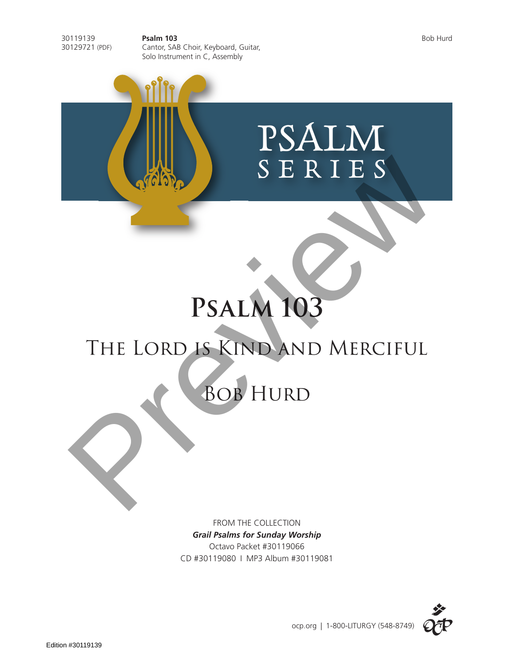30119139 **Psalm 103** Bob Hurd 30129721 (PDF) Cantor, SAB Choir, Keyboard, Guitar, Solo Instrument in C, Assembly

PSALM SERIES

# **Psalm 103**

# THE LORD IS KIND AND MERCIFUL SERIES<br>PSALM 103<br>THE LORD IS KIND AND MERCIFUL<br>BOB HURD

FROM THE COLLECTION *Grail Psalms for Sunday Worship* Octavo Packet #30119066 CD #30119080 I MP3 Album #30119081

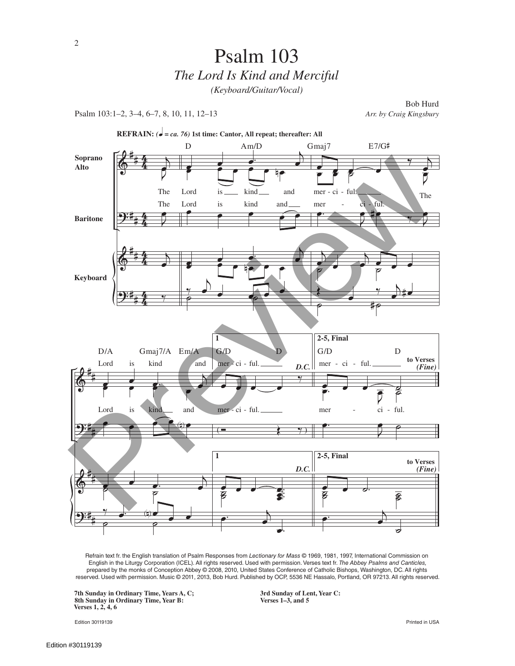Psalm 103:1–2, 3–4, 6–7, 8, 10, 11, 12–13 *Arr. by Craig Kingsbury*

Bob Hurd



Refrain text fr. the English translation of Psalm Responses from *Lectionary for Mass* © 1969, 1981, 1997, International Commission on English in the Liturgy Corporation (ICEL). All rights reserved. Used with permission. Verses text fr. *The Abbey Psalms and Canticles,* prepared by the monks of Conception Abbey © 2008, 2010, United States Conference of Catholic Bishops, Washington, DC. All rights reserved. Used with permission. Music © 2011, 2013, Bob Hurd. Published by OCP, 5536 NE Hassalo, Portland, OR 97213. All rights reserved.

**7th Sunday in Ordinary Time, Years A, C; 3rd Sunday of Lent, Year C: 8th Sunday in Ordinary Time, Year B: Verses 1–3, and 5 Verses 1, 2, 4, 6**

Edition 30119139 Printed in USA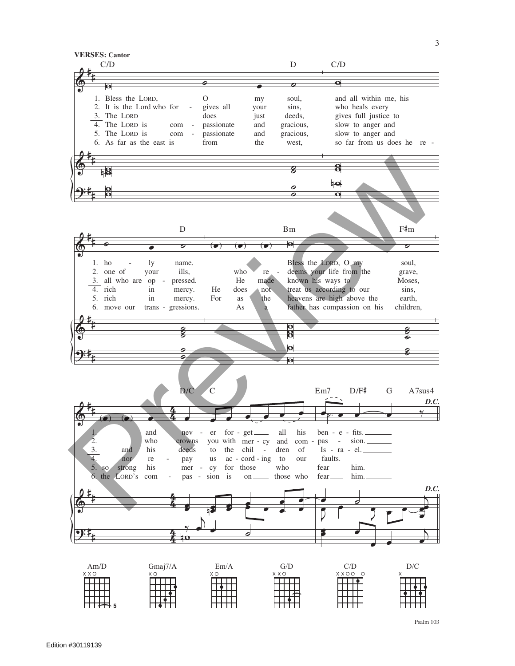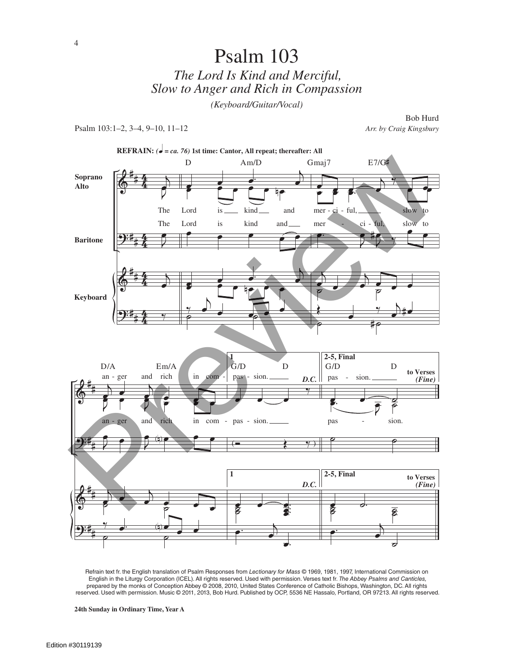# Psalm 103 *The Lord Is Kind and Merciful, Slow to Anger and Rich in Compassion (Keyboard/Guitar/Vocal)*

Psalm 103:1–2, 3–4, 9–10, 11–12 *Arr. by Craig Kingsbury*

Bob Hurd



Refrain text fr. the English translation of Psalm Responses from *Lectionary for Mass* © 1969, 1981, 1997, International Commission on English in the Liturgy Corporation (ICEL). All rights reserved. Used with permission. Verses text fr. *The Abbey Psalms and Canticles,* prepared by the monks of Conception Abbey © 2008, 2010, United States Conference of Catholic Bishops, Washington, DC. All rights reserved. Used with permission. Music © 2011, 2013, Bob Hurd. Published by OCP, 5536 NE Hassalo, Portland, OR 97213. All rights reserved.

**24th Sunday in Ordinary Time, Year A**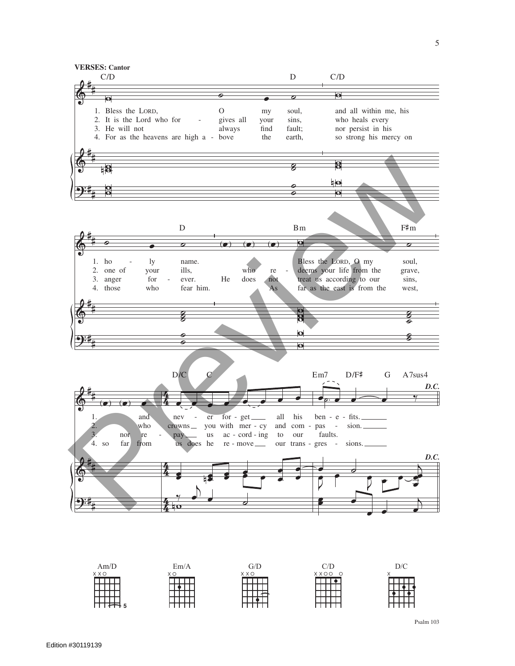

 $D/C$  $Am/D$  $Em/A$  $G/D$  $C/D$  $X$   $X$   $C$  $X$   $\Omega$  $X$   $O$   $O$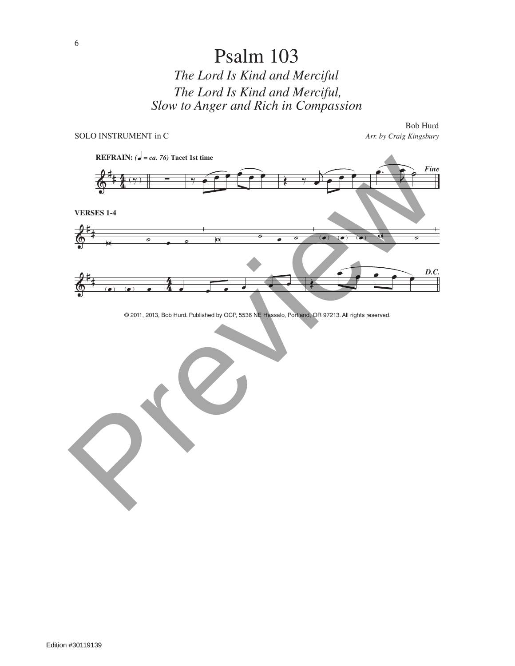# Psalm 103 *The Lord Is Kind and Merciful The Lord Is Kind and Merciful, Slow to Anger and Rich in Compassion*



© 2011, 2013, Bob Hurd. Published by OCP, 5536 NE Hassalo, Portland, OR 97213. All rights reserved.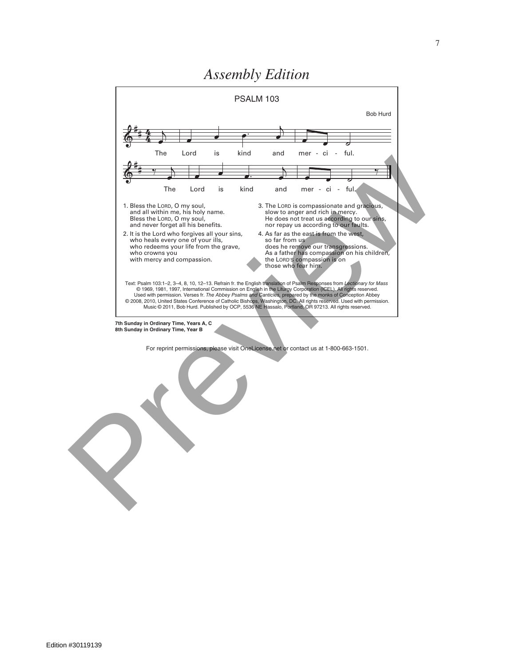

### *Assembly Edition*